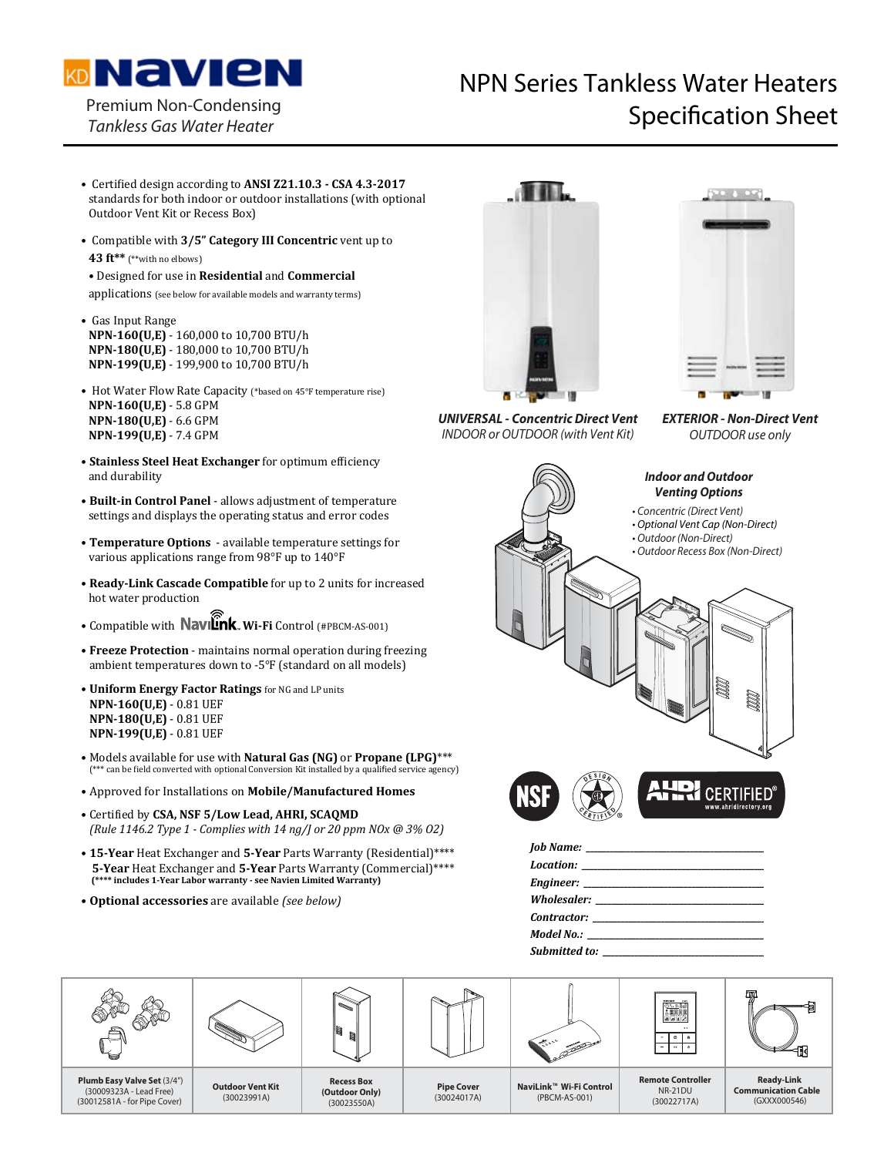

Premium Non-Condensing

## NPN Series Tankless Water Heaters Premium Non-Condensing<br>Tankless Gas Water Heater

- Ȉ ϐ**ANSI Z21.10.3 CSA 4.3-2017** standards for both indoor or outdoor installations (with optional Outdoor Vent Kit or Recess Box)
- Compatible with 3/5" Category III Concentric vent up to 43 ft\*\* (\*\*with no elbows)
- Ȉ**Residential Commercial**

applications (see below for available models and warranty terms)

- Gas Input Range **NPN-160(U,E)** - 160,000 to 10,700 BTU/h **NPN-180(U,E)** - 180,000 to 10,700 BTU/h **NPN-199(U,E)** - 199,900 to 10,700 BTU/h
- Hot Water Flow Rate Capacity (\*based on 45°F temperature rise) **NPN-160(U,E)** - 5.8 GPM **NPN-180(U,E)** - 6.6 GPM **NPN-199(U,E)** - 7.4 GPM
- **Stainless Steel Heat Exchanger** for optimum efficiency and durability
- **Built-in Control Panel** allows adjustment of temperature settings and displays the operating status and error codes
- Temperature Options available temperature settings for various applications range from 98°F up to 140°F
- **Ready-Link Cascade Compatible** for up to 2 units for increased hot water production
- **Compatible with Navilink Wi-Fi Control** (#PBCM-AS-001)
- Freeze Protection maintains normal operation during freezing ambient temperatures down to -5°F (standard on all models)
- **Uniform Energy Factor Ratings** for NG and LP units **NPN-160(U,E)** - 0.81 UEF **NPN-180(U,E) - 0.81 UEF NPN-199(U,E) - 0.81 UEF**
- Models available for use with **Natural Gas (NG)** or **Propane (LPG)**\*\*\* (\*\*\* can be field converted with optional Conversion Kit installed by a qualified service agency)
- Ȉ**Mobile/Manufactured Homes**
- Ȉϐ**CSA, NSF 5/Low Lead, AHRI, SCAQMD** *(Rule 1146.2 Type 1 - Complies with 14 ng/J or 20 ppm NOx @ 3% O2)*
- 15-Year Heat Exchanger and 5-Year Parts Warranty (Residential)\*\*\*\* 5-Year Heat Exchanger and 5-Year Parts Warranty (Commercial)\*\*\*\*  **(\*\*\*\* includes 1-Year Labor warranty - see Navien Limited Warranty)**
- Ȉ**Optional accessories***(see below)*







*EXTERIOR - Non-Direct Vent OUTDOOR use only*



*Job Name: \_\_\_\_\_\_\_\_\_\_\_\_\_\_\_\_\_\_\_\_\_\_\_\_\_\_\_\_\_\_\_\_\_\_\_\_\_\_\_\_\_\_\_\_\_*

 $Location:$ 

*Engineer: \_\_\_\_\_\_\_\_\_\_\_\_\_\_\_\_\_\_\_\_\_\_\_\_\_\_\_\_\_\_\_\_\_\_\_\_\_\_\_\_\_\_\_\_\_*

*Wholesaler: \_\_\_\_\_\_\_\_\_\_\_\_\_\_\_\_\_\_\_\_\_\_\_\_\_\_\_\_\_\_\_\_\_\_\_\_\_\_\_\_\_\_*

 $\emph{Contractor:}$ 

*Model No.: \_\_\_\_\_\_\_\_\_\_\_\_\_\_\_\_\_\_\_\_\_\_\_\_\_\_\_\_\_\_\_\_\_\_\_\_\_\_\_\_\_\_\_\_\_*

*Submitted to: \_\_\_\_\_\_\_\_\_\_\_\_\_\_\_\_\_\_\_\_\_\_\_\_\_\_\_\_\_\_\_\_\_\_\_\_\_\_\_\_\_*